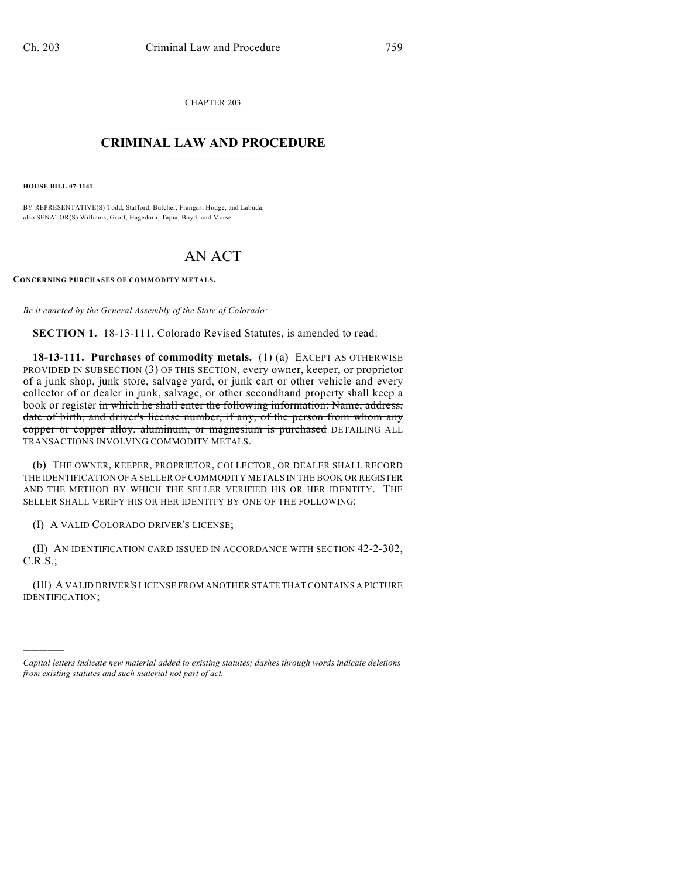CHAPTER 203  $\mathcal{L}_\text{max}$  . The set of the set of the set of the set of the set of the set of the set of the set of the set of the set of the set of the set of the set of the set of the set of the set of the set of the set of the set

## **CRIMINAL LAW AND PROCEDURE**  $\_$

**HOUSE BILL 07-1141**

)))))

BY REPRESENTATIVE(S) Todd, Stafford, Butcher, Frangas, Hodge, and Labuda; also SENATOR(S) Williams, Groff, Hagedorn, Tapia, Boyd, and Morse.

## AN ACT

**CONCERNING PURCHASES OF COMMODITY METALS.** 

*Be it enacted by the General Assembly of the State of Colorado:*

**SECTION 1.** 18-13-111, Colorado Revised Statutes, is amended to read:

**18-13-111. Purchases of commodity metals.** (1) (a) EXCEPT AS OTHERWISE PROVIDED IN SUBSECTION (3) OF THIS SECTION, every owner, keeper, or proprietor of a junk shop, junk store, salvage yard, or junk cart or other vehicle and every collector of or dealer in junk, salvage, or other secondhand property shall keep a book or register in which he shall enter the following information: Name, address, date of birth, and driver's license number, if any, of the person from whom any copper or copper alloy, aluminum, or magnesium is purchased DETAILING ALL TRANSACTIONS INVOLVING COMMODITY METALS.

(b) THE OWNER, KEEPER, PROPRIETOR, COLLECTOR, OR DEALER SHALL RECORD THE IDENTIFICATION OF A SELLER OF COMMODITY METALS IN THE BOOK OR REGISTER AND THE METHOD BY WHICH THE SELLER VERIFIED HIS OR HER IDENTITY. THE SELLER SHALL VERIFY HIS OR HER IDENTITY BY ONE OF THE FOLLOWING:

(I) A VALID COLORADO DRIVER'S LICENSE;

(II) AN IDENTIFICATION CARD ISSUED IN ACCORDANCE WITH SECTION 42-2-302, C.R.S.;

(III) A VALID DRIVER'S LICENSE FROM ANOTHER STATE THAT CONTAINS A PICTURE IDENTIFICATION;

*Capital letters indicate new material added to existing statutes; dashes through words indicate deletions from existing statutes and such material not part of act.*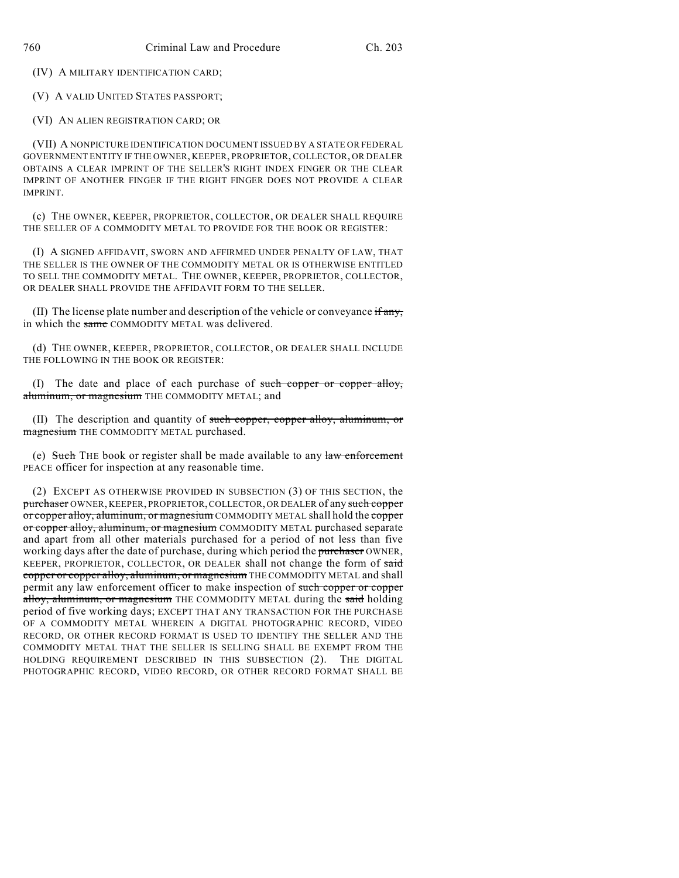(IV) A MILITARY IDENTIFICATION CARD;

(V) A VALID UNITED STATES PASSPORT;

(VI) AN ALIEN REGISTRATION CARD; OR

(VII) A NONPICTURE IDENTIFICATION DOCUMENT ISSUED BY A STATE OR FEDERAL GOVERNMENT ENTITY IF THE OWNER, KEEPER, PROPRIETOR, COLLECTOR, OR DEALER OBTAINS A CLEAR IMPRINT OF THE SELLER'S RIGHT INDEX FINGER OR THE CLEAR IMPRINT OF ANOTHER FINGER IF THE RIGHT FINGER DOES NOT PROVIDE A CLEAR IMPRINT.

(c) THE OWNER, KEEPER, PROPRIETOR, COLLECTOR, OR DEALER SHALL REQUIRE THE SELLER OF A COMMODITY METAL TO PROVIDE FOR THE BOOK OR REGISTER:

(I) A SIGNED AFFIDAVIT, SWORN AND AFFIRMED UNDER PENALTY OF LAW, THAT THE SELLER IS THE OWNER OF THE COMMODITY METAL OR IS OTHERWISE ENTITLED TO SELL THE COMMODITY METAL. THE OWNER, KEEPER, PROPRIETOR, COLLECTOR, OR DEALER SHALL PROVIDE THE AFFIDAVIT FORM TO THE SELLER.

(II) The license plate number and description of the vehicle or conveyance if any, in which the same COMMODITY METAL was delivered.

(d) THE OWNER, KEEPER, PROPRIETOR, COLLECTOR, OR DEALER SHALL INCLUDE THE FOLLOWING IN THE BOOK OR REGISTER:

(I) The date and place of each purchase of such copper or copper alloy, aluminum, or magnesium THE COMMODITY METAL; and

(II) The description and quantity of such copper, copper alloy, aluminum, or magnesium THE COMMODITY METAL purchased.

(e) Such THE book or register shall be made available to any law enforcement PEACE officer for inspection at any reasonable time.

(2) EXCEPT AS OTHERWISE PROVIDED IN SUBSECTION (3) OF THIS SECTION, the purchaser OWNER, KEEPER, PROPRIETOR, COLLECTOR, OR DEALER of any such copper or copper alloy, aluminum, or magnesium COMMODITY METAL shall hold the copper or copper alloy, aluminum, or magnesium COMMODITY METAL purchased separate and apart from all other materials purchased for a period of not less than five working days after the date of purchase, during which period the purchaser OWNER, KEEPER, PROPRIETOR, COLLECTOR, OR DEALER shall not change the form of said copper or copper alloy, aluminum, or magnesium THE COMMODITY METAL and shall permit any law enforcement officer to make inspection of such copper or copper alloy, aluminum, or magnesium THE COMMODITY METAL during the said holding period of five working days; EXCEPT THAT ANY TRANSACTION FOR THE PURCHASE OF A COMMODITY METAL WHEREIN A DIGITAL PHOTOGRAPHIC RECORD, VIDEO RECORD, OR OTHER RECORD FORMAT IS USED TO IDENTIFY THE SELLER AND THE COMMODITY METAL THAT THE SELLER IS SELLING SHALL BE EXEMPT FROM THE HOLDING REQUIREMENT DESCRIBED IN THIS SUBSECTION (2). THE DIGITAL PHOTOGRAPHIC RECORD, VIDEO RECORD, OR OTHER RECORD FORMAT SHALL BE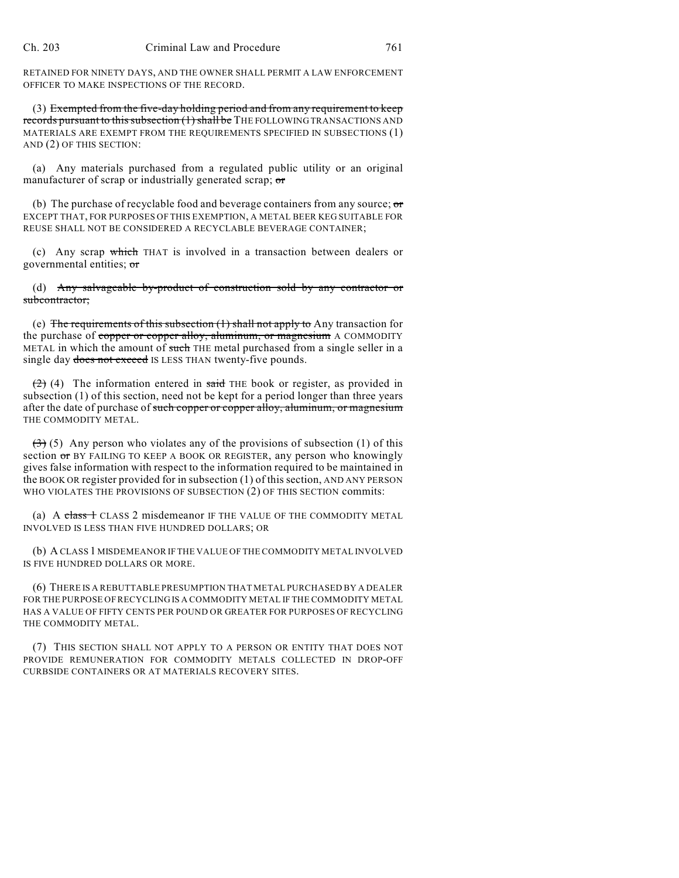RETAINED FOR NINETY DAYS, AND THE OWNER SHALL PERMIT A LAW ENFORCEMENT OFFICER TO MAKE INSPECTIONS OF THE RECORD.

(3) Exempted from the five-day holding period and from any requirement to keep records pursuant to this subsection (1) shall be THE FOLLOWING TRANSACTIONS AND MATERIALS ARE EXEMPT FROM THE REQUIREMENTS SPECIFIED IN SUBSECTIONS (1) AND (2) OF THIS SECTION:

(a) Any materials purchased from a regulated public utility or an original manufacturer of scrap or industrially generated scrap; or

(b) The purchase of recyclable food and beverage containers from any source; or EXCEPT THAT, FOR PURPOSES OF THIS EXEMPTION, A METAL BEER KEG SUITABLE FOR REUSE SHALL NOT BE CONSIDERED A RECYCLABLE BEVERAGE CONTAINER;

(c) Any scrap which THAT is involved in a transaction between dealers or governmental entities; or

(d) Any salvageable by-product of construction sold by any contractor or subcontractor;

(e) The requirements of this subsection  $(1)$  shall not apply to Any transaction for the purchase of **copper or copper alloy, aluminum, or magnesium** A COMMODITY METAL in which the amount of such THE metal purchased from a single seller in a single day does not exceed IS LESS THAN twenty-five pounds.

 $(2)$  (4) The information entered in said THE book or register, as provided in subsection (1) of this section, need not be kept for a period longer than three years after the date of purchase of such copper or copper alloy, aluminum, or magnesium THE COMMODITY METAL.

 $(3)$  (5) Any person who violates any of the provisions of subsection (1) of this section  $\sigma$ F BY FAILING TO KEEP A BOOK OR REGISTER, any person who knowingly gives false information with respect to the information required to be maintained in the BOOK OR register provided for in subsection (1) of this section, AND ANY PERSON WHO VIOLATES THE PROVISIONS OF SUBSECTION (2) OF THIS SECTION commits:

(a) A class 1 CLASS 2 misdemeanor IF THE VALUE OF THE COMMODITY METAL INVOLVED IS LESS THAN FIVE HUNDRED DOLLARS; OR

(b) A CLASS 1 MISDEMEANOR IF THE VALUE OF THE COMMODITY METAL INVOLVED IS FIVE HUNDRED DOLLARS OR MORE.

(6) THERE IS A REBUTTABLE PRESUMPTION THAT METAL PURCHASED BY A DEALER FOR THE PURPOSE OF RECYCLING IS A COMMODITY METAL IF THE COMMODITY METAL HAS A VALUE OF FIFTY CENTS PER POUND OR GREATER FOR PURPOSES OF RECYCLING THE COMMODITY METAL.

(7) THIS SECTION SHALL NOT APPLY TO A PERSON OR ENTITY THAT DOES NOT PROVIDE REMUNERATION FOR COMMODITY METALS COLLECTED IN DROP-OFF CURBSIDE CONTAINERS OR AT MATERIALS RECOVERY SITES.